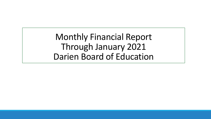Monthly Financial Report Through January 2021 Darien Board of Education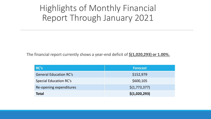## Highlights of Monthly Financial Report Through January 2021

The financial report currently shows a year-end deficit of **\$(1,020,293) or 1.00%.**

| RC's                          | <b>Forecast</b>                           |
|-------------------------------|-------------------------------------------|
| <b>General Education RC's</b> | \$152,979                                 |
| <b>Special Education RC's</b> | \$600,105                                 |
| Re-opening expenditures       | $\left  \frac{\xi(1,773,377)}{2} \right $ |
| <b>Total</b>                  | \$(1,020,293)                             |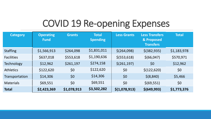# COVID 19 Re-opening Expenses

| <b>Category</b>   | <b>Operating</b><br><b>Fund</b> | <b>Grants</b> | <b>Total</b><br><b>Spending</b> | <b>Less Grants</b>       | <b>Less Transfers</b><br>& Proposed<br><b>Transfers</b> | <b>Total</b> |
|-------------------|---------------------------------|---------------|---------------------------------|--------------------------|---------------------------------------------------------|--------------|
| <b>Staffing</b>   | \$1,566,913                     | \$264,098     | \$1,831,011                     | \$(264,098)              | $$$ (382,935)                                           | \$1,183,978  |
| <b>Facilities</b> | \$637,018                       | \$553,618     | \$1,190,636                     | $$$ (553,618)            | \$(66, 047)                                             | \$570,971    |
| Technology        | \$12,962                        | \$261,197     | \$274,158                       | $\frac{\xi(261,197)}{2}$ | \$0                                                     | \$12,962     |
| <b>Athletics</b>  | \$122,620                       | \$0           | \$122,620                       | \$0                      | \$(122, 620)                                            | \$0          |
| Transportation    | \$14,306                        | \$0           | \$14,306                        | \$0                      | \$ (8, 840)                                             | \$5,466      |
| <b>Materials</b>  | \$69,551                        | \$0           | \$69,551                        | \$0                      | \$ (69, 551)                                            | \$0          |
| <b>Total</b>      | \$2,423,369                     | \$1,078,913   | \$3,502,282                     | \$(1,078,913)            | \$(649,993)                                             | \$1,773,376  |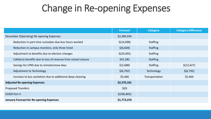## Change in Re-opening Expenses

|                                                               | <b>Forecast</b> | <b>Category</b>   | <b>Category Difference</b> |
|---------------------------------------------------------------|-----------------|-------------------|----------------------------|
| December (Operating) Re-opening Expenses                      | \$2,384,934     |                   |                            |
| Reduction in part time custodian due less hours worked        | \$(16,098)      | <b>Staffing</b>   |                            |
| Reduction in campus monitors, only three hired                | \$(6,828)       | <b>Staffing</b>   |                            |
| Adjustment to benefits due to election changes                | \$(29, 395)     | <b>Staffing</b>   |                            |
| Cafeteria benefits due to loss of revenue from school closure | \$41,582        | <b>Staffing</b>   |                            |
| Savings for LPNS due to remote/snow days                      | \$(2,688)       | <b>Staffing</b>   | \$(13, 427)                |
| Adjustment to Technology                                      | \$(6, 792)      | <b>Technology</b> | \$(6, 792)                 |
| Increase to bus sanitation due to additional deep cleaning    | \$5,466         | Transportation    | \$5,466                    |
| <b>Adjusted Re-opening Expenses</b>                           | \$2,370,181     |                   |                            |
| <b>Proposed Transfers</b>                                     | $\zeta(0)$      |                   |                            |
| <b>ESSER Part II</b>                                          | \$ (596, 805)   |                   |                            |
| <b>January Forecast for Re-opening Expenses</b>               | \$1,773,376     |                   |                            |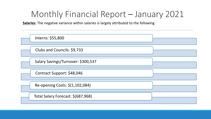**Salaries**: The negative variance within salaries is largely attributed to the following

| Interns: \$55,800                  |  |
|------------------------------------|--|
| Clubs and Councils: \$9,733        |  |
| Salary Savings/Turnover: \$300,537 |  |
| Contract Support: \$48,046         |  |
| Re-opening Costs: \$(1,102,084)    |  |
| Total Salary Forecast: \$(687,968) |  |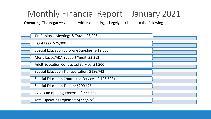**Operating**: The negative variance within operating is largely attributed to the following

| Professional Meetings & Travel: \$3,296            |  |
|----------------------------------------------------|--|
| Legal Fees: $$25,000$                              |  |
| Special Education Software Supplies: \$(12,500)    |  |
| Music Lease/ADA Support/Audit: \$3,362             |  |
| Adult Education Contracted Service: \$4,500        |  |
| Special Education Transportation: \$186,743        |  |
| Special Education Contracted Services: \$(126,623) |  |
| Special Education Tuition: \$200,625               |  |
| COVID Re-opening Expense: \$(658,331)              |  |
| Total Operating Expenses: \$(373,928)              |  |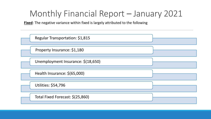**Fixed**: The negative variance within fixed is largely attributed to the following

| Regular Transportation: \$1,815    |  |
|------------------------------------|--|
| Property Insurance: \$1,180        |  |
| Unemployment Insurance: \$(18,650) |  |
| Health Insurance: \$(65,000)       |  |
| <b>Utilities: \$54,796</b>         |  |
| Total Fixed Forecast: \$(25,860)   |  |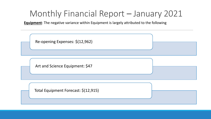**Equipment**: The negative variance within Equipment is largely attributed to the following

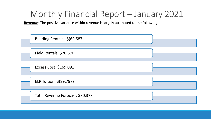**Revenue**: The positive variance within revenue is largely attributed to the following